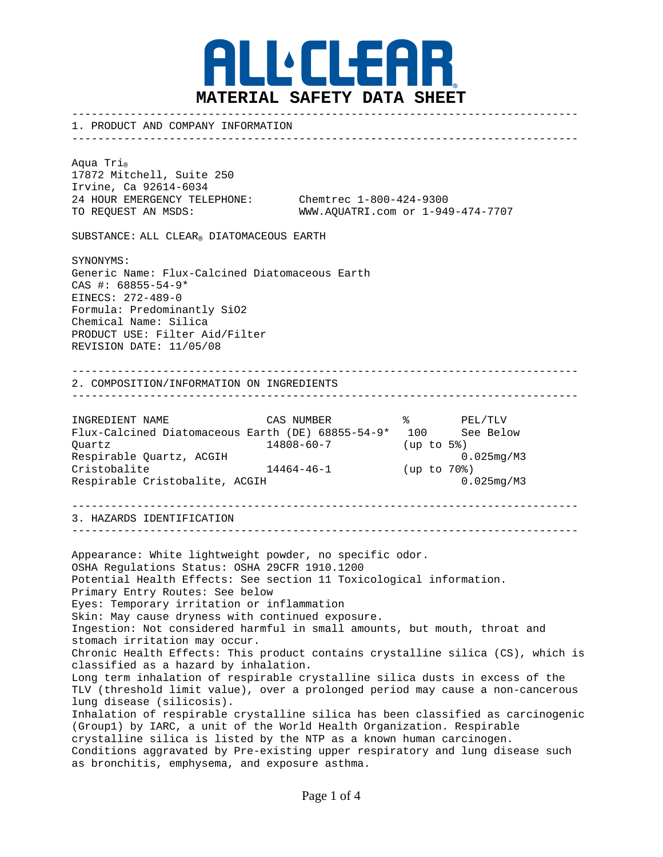

1. PRODUCT AND COMPANY INFORMATION

------------------------------------------------------------------------------

------------------------------------------------------------------------------

Aqua Tri<sub>®</sub> 17872 Mitchell, Suite 250 Irvine, Ca 92614-6034 24 HOUR EMERGENCY TELEPHONE: Chemtrec 1-800-424-9300

TO REQUEST AN MSDS: WWW.AQUATRI.com or 1-949-474-7707

SUBSTANCE: ALL CLEAR® DIATOMACEOUS EARTH

SYNONYMS: Generic Name: Flux-Calcined Diatomaceous Earth CAS #: 68855-54-9\* EINECS: 272-489-0 Formula: Predominantly SiO2 Chemical Name: Silica PRODUCT USE: Filter Aid/Filter REVISION DATE: 11/05/08

## ------------------------------------------------------------------------------ 2. COMPOSITION/INFORMATION ON INGREDIENTS

------------------------------------------------------------------------------

| INGREDIENT NAME                                   | CAS NUMBER | ႜ          | PEL/TLV          |
|---------------------------------------------------|------------|------------|------------------|
| Flux-Calcined Diatomaceous Earth (DE) 68855-54-9* |            | 100        | See Below        |
| Ouartz                                            | 14808-60-7 | (up to 5%) |                  |
| Respirable Ouartz, ACGIH                          |            |            | $0.025$ mg/M $3$ |
| Cristobalite                                      | 14464-46-1 | (up to 70) |                  |
| Respirable Cristobalite, ACGIH                    |            |            | $0.025$ mg/M $3$ |

------------------------------------------------------------------------------ 3. HAZARDS IDENTIFICATION

------------------------------------------------------------------------------

Appearance: White lightweight powder, no specific odor. OSHA Regulations Status: OSHA 29CFR 1910.1200 Potential Health Effects: See section 11 Toxicological information. Primary Entry Routes: See below Eyes: Temporary irritation or inflammation Skin: May cause dryness with continued exposure. Ingestion: Not considered harmful in small amounts, but mouth, throat and stomach irritation may occur. Chronic Health Effects: This product contains crystalline silica (CS), which is classified as a hazard by inhalation. Long term inhalation of respirable crystalline silica dusts in excess of the TLV (threshold limit value), over a prolonged period may cause a non-cancerous lung disease (silicosis). Inhalation of respirable crystalline silica has been classified as carcinogenic (Group1) by IARC, a unit of the World Health Organization. Respirable crystalline silica is listed by the NTP as a known human carcinogen. Conditions aggravated by Pre-existing upper respiratory and lung disease such as bronchitis, emphysema, and exposure asthma.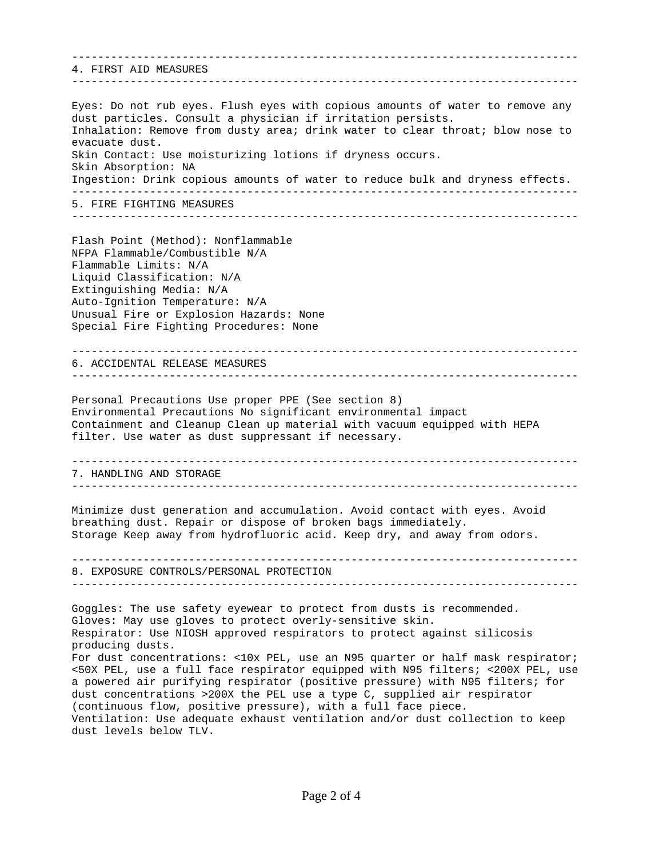------------------------------------------------------------------------------ 4. FIRST AID MEASURES ------------------------------------------------------------------------------ Eyes: Do not rub eyes. Flush eyes with copious amounts of water to remove any dust particles. Consult a physician if irritation persists. Inhalation: Remove from dusty area; drink water to clear throat; blow nose to evacuate dust. Skin Contact: Use moisturizing lotions if dryness occurs. Skin Absorption: NA Ingestion: Drink copious amounts of water to reduce bulk and dryness effects. ------------------------------------------------------------------------------ 5. FIRE FIGHTING MEASURES ------------------------------------------------------------------------------ Flash Point (Method): Nonflammable NFPA Flammable/Combustible N/A Flammable Limits: N/A Liquid Classification: N/A Extinguishing Media: N/A Auto-Ignition Temperature: N/A Unusual Fire or Explosion Hazards: None Special Fire Fighting Procedures: None ------------------------------------------------------------------------------ 6. ACCIDENTAL RELEASE MEASURES ------------------------------------------------------------------------------ Personal Precautions Use proper PPE (See section 8) Environmental Precautions No significant environmental impact Containment and Cleanup Clean up material with vacuum equipped with HEPA filter. Use water as dust suppressant if necessary. ------------------------------------------------------------------------------ 7. HANDLING AND STORAGE ------------------------------------------------------------------------------ Minimize dust generation and accumulation. Avoid contact with eyes. Avoid breathing dust. Repair or dispose of broken bags immediately. Storage Keep away from hydrofluoric acid. Keep dry, and away from odors. ------------------------------------------------------------------------------ 8. EXPOSURE CONTROLS/PERSONAL PROTECTION ------------------------------------------------------------------------------ Goggles: The use safety eyewear to protect from dusts is recommended. Gloves: May use gloves to protect overly-sensitive skin. Respirator: Use NIOSH approved respirators to protect against silicosis producing dusts. For dust concentrations: <10x PEL, use an N95 quarter or half mask respirator; <50X PEL, use a full face respirator equipped with N95 filters; <200X PEL, use a powered air purifying respirator (positive pressure) with N95 filters; for dust concentrations >200X the PEL use a type C, supplied air respirator (continuous flow, positive pressure), with a full face piece. Ventilation: Use adequate exhaust ventilation and/or dust collection to keep dust levels below TLV.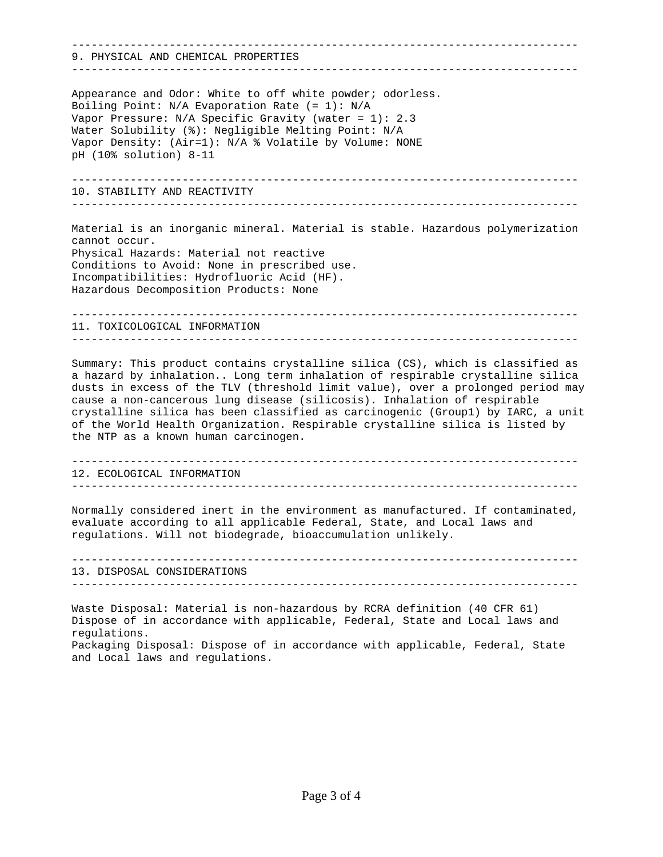------------------------------------------------------------------------------ 9. PHYSICAL AND CHEMICAL PROPERTIES ------------------------------------------------------------------------------ Appearance and Odor: White to off white powder; odorless. Boiling Point: N/A Evaporation Rate (= 1): N/A Vapor Pressure: N/A Specific Gravity (water = 1): 2.3 Water Solubility (%): Negligible Melting Point: N/A Vapor Density: (Air=1): N/A % Volatile by Volume: NONE pH (10% solution) 8-11 ------------------------------------------------------------------------------ 10. STABILITY AND REACTIVITY ------------------------------------------------------------------------------ Material is an inorganic mineral. Material is stable. Hazardous polymerization cannot occur. Physical Hazards: Material not reactive Conditions to Avoid: None in prescribed use. Incompatibilities: Hydrofluoric Acid (HF). Hazardous Decomposition Products: None ------------------------------------------------------------------------------ 11. TOXICOLOGICAL INFORMATION ------------------------------------------------------------------------------ Summary: This product contains crystalline silica (CS), which is classified as a hazard by inhalation.. Long term inhalation of respirable crystalline silica dusts in excess of the TLV (threshold limit value), over a prolonged period may cause a non-cancerous lung disease (silicosis). Inhalation of respirable crystalline silica has been classified as carcinogenic (Group1) by IARC, a unit of the World Health Organization. Respirable crystalline silica is listed by the NTP as a known human carcinogen. ------------------------------------------------------------------------------ 12. ECOLOGICAL INFORMATION ------------------------------------------------------------------------------ Normally considered inert in the environment as manufactured. If contaminated, evaluate according to all applicable Federal, State, and Local laws and regulations. Will not biodegrade, bioaccumulation unlikely. ------------------------------------------------------------------------------ 13. DISPOSAL CONSIDERATIONS ------------------------------------------------------------------------------ Waste Disposal: Material is non-hazardous by RCRA definition (40 CFR 61) Dispose of in accordance with applicable, Federal, State and Local laws and regulations. Packaging Disposal: Dispose of in accordance with applicable, Federal, State and Local laws and regulations.